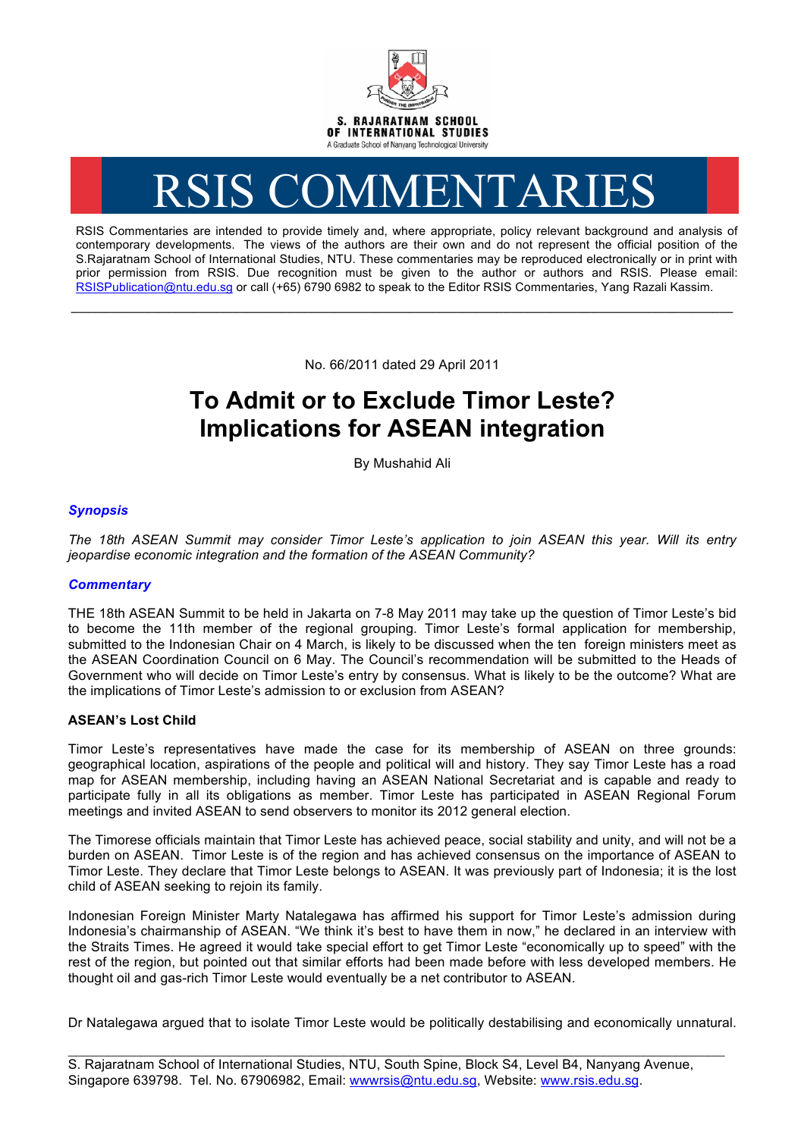

# RSIS COMMENTARIES

RSIS Commentaries are intended to provide timely and, where appropriate, policy relevant background and analysis of contemporary developments. The views of the authors are their own and do not represent the official position of the S.Rajaratnam School of International Studies, NTU. These commentaries may be reproduced electronically or in print with prior permission from RSIS. Due recognition must be given to the author or authors and RSIS. Please email: RSISPublication@ntu.edu.sg or call (+65) 6790 6982 to speak to the Editor RSIS Commentaries, Yang Razali Kassim.

No. 66/2011 dated 29 April 2011

**\_\_\_\_\_\_\_\_\_\_\_\_\_\_\_\_\_\_\_\_\_\_\_\_\_\_\_\_\_\_\_\_\_\_\_\_\_\_\_\_\_\_\_\_\_\_\_\_\_\_\_\_\_\_\_\_\_\_\_\_\_\_\_\_\_\_\_\_\_\_\_\_\_\_\_\_\_\_\_\_\_\_\_\_\_\_\_\_\_\_\_\_\_\_\_\_\_\_**

# **To Admit or to Exclude Timor Leste? Implications for ASEAN integration**

By Mushahid Ali

## *Synopsis*

*The 18th ASEAN Summit may consider Timor Leste's application to join ASEAN this year. Will its entry jeopardise economic integration and the formation of the ASEAN Community?* 

### *Commentary*

THE 18th ASEAN Summit to be held in Jakarta on 7-8 May 2011 may take up the question of Timor Leste's bid to become the 11th member of the regional grouping. Timor Leste's formal application for membership, submitted to the Indonesian Chair on 4 March, is likely to be discussed when the ten foreign ministers meet as the ASEAN Coordination Council on 6 May. The Council's recommendation will be submitted to the Heads of Government who will decide on Timor Leste's entry by consensus. What is likely to be the outcome? What are the implications of Timor Leste's admission to or exclusion from ASEAN?

### **ASEAN's Lost Child**

Timor Leste's representatives have made the case for its membership of ASEAN on three grounds: geographical location, aspirations of the people and political will and history. They say Timor Leste has a road map for ASEAN membership, including having an ASEAN National Secretariat and is capable and ready to participate fully in all its obligations as member. Timor Leste has participated in ASEAN Regional Forum meetings and invited ASEAN to send observers to monitor its 2012 general election.

The Timorese officials maintain that Timor Leste has achieved peace, social stability and unity, and will not be a burden on ASEAN. Timor Leste is of the region and has achieved consensus on the importance of ASEAN to Timor Leste. They declare that Timor Leste belongs to ASEAN. It was previously part of Indonesia; it is the lost child of ASEAN seeking to rejoin its family.

Indonesian Foreign Minister Marty Natalegawa has affirmed his support for Timor Leste's admission during Indonesia's chairmanship of ASEAN. "We think it's best to have them in now," he declared in an interview with the Straits Times. He agreed it would take special effort to get Timor Leste "economically up to speed" with the rest of the region, but pointed out that similar efforts had been made before with less developed members. He thought oil and gas-rich Timor Leste would eventually be a net contributor to ASEAN.

Dr Natalegawa argued that to isolate Timor Leste would be politically destabilising and economically unnatural.

\_\_\_\_\_\_\_\_\_\_\_\_\_\_\_\_\_\_\_\_\_\_\_\_\_\_\_\_\_\_\_\_\_\_\_\_\_\_\_\_\_\_\_\_\_\_\_\_\_\_\_\_\_\_\_\_\_\_\_\_\_\_\_\_\_\_\_\_\_\_\_\_\_\_\_\_\_\_\_\_\_